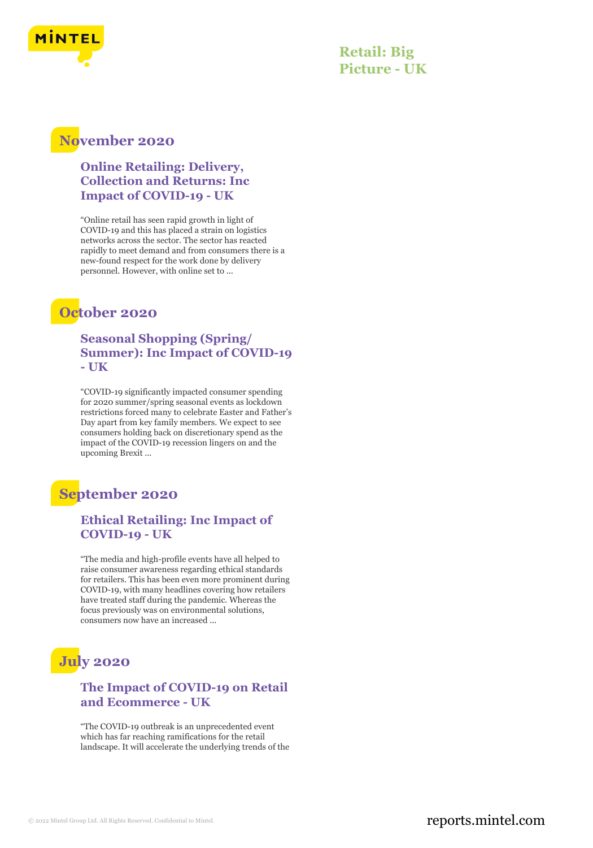

**Retail: Big Picture - UK**

### **November 2020**

**Online Retailing: Delivery, Collection and Returns: Inc Impact of COVID-19 - UK**

"Online retail has seen rapid growth in light of COVID-19 and this has placed a strain on logistics networks across the sector. The sector has reacted rapidly to meet demand and from consumers there is a new-found respect for the work done by delivery personnel. However, with online set to ...

## **October 2020**

**Seasonal Shopping (Spring/ Summer): Inc Impact of COVID-19 - UK**

"COVID-19 significantly impacted consumer spending for 2020 summer/spring seasonal events as lockdown restrictions forced many to celebrate Easter and Father's Day apart from key family members. We expect to see consumers holding back on discretionary spend as the impact of the COVID-19 recession lingers on and the upcoming Brexit ...

## **September 2020**

### **Ethical Retailing: Inc Impact of COVID-19 - UK**

"The media and high-profile events have all helped to raise consumer awareness regarding ethical standards for retailers. This has been even more prominent during COVID-19, with many headlines covering how retailers have treated staff during the pandemic. Whereas the focus previously was on environmental solutions, consumers now have an increased ...

# **July 2020**

#### **The Impact of COVID-19 on Retail and Ecommerce - UK**

"The COVID-19 outbreak is an unprecedented event which has far reaching ramifications for the retail landscape. It will accelerate the underlying trends of the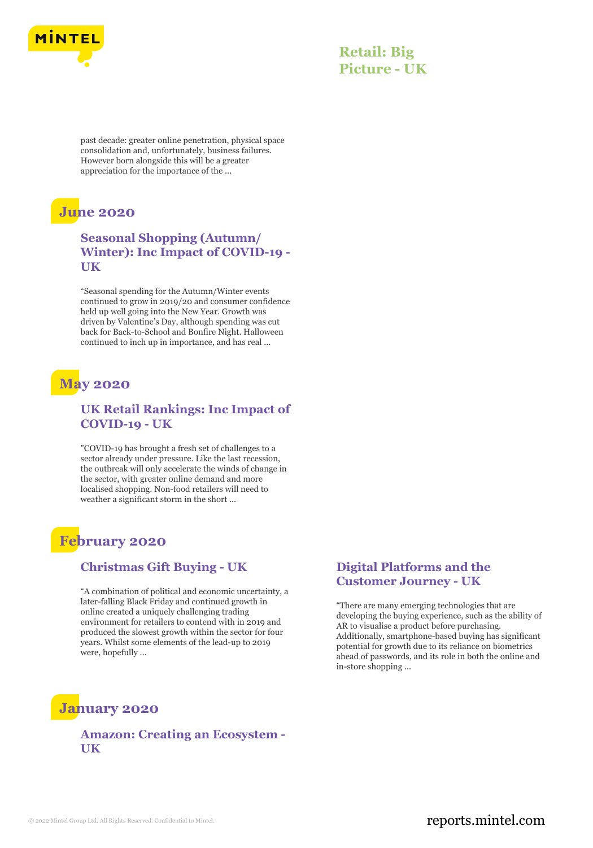

### **Retail: Big Picture - UK**

past decade: greater online penetration, physical space consolidation and, unfortunately, business failures. However born alongside this will be a greater appreciation for the importance of the ...

## **June 2020**

### **Seasonal Shopping (Autumn/ Winter): Inc Impact of COVID-19 - UK**

"Seasonal spending for the Autumn/Winter events continued to grow in 2019/20 and consumer confidence held up well going into the New Year. Growth was driven by Valentine's Day, although spending was cut back for Back-to-School and Bonfire Night. Halloween continued to inch up in importance, and has real ...

# **May 2020**

### **UK Retail Rankings: Inc Impact of COVID-19 - UK**

"COVID-19 has brought a fresh set of challenges to a sector already under pressure. Like the last recession, the outbreak will only accelerate the winds of change in the sector, with greater online demand and more localised shopping. Non-food retailers will need to weather a significant storm in the short ...

## **February 2020**

#### **Christmas Gift Buying - UK**

"A combination of political and economic uncertainty, a later-falling Black Friday and continued growth in online created a uniquely challenging trading environment for retailers to contend with in 2019 and produced the slowest growth within the sector for four years. Whilst some elements of the lead-up to 2019 were, hopefully ...

#### **Digital Platforms and the Customer Journey - UK**

"There are many emerging technologies that are developing the buying experience, such as the ability of AR to visualise a product before purchasing. Additionally, smartphone-based buying has significant potential for growth due to its reliance on biometrics ahead of passwords, and its role in both the online and in-store shopping ...

## **January 2020**

### **Amazon: Creating an Ecosystem - UK**

### © 2022 Mintel Group Ltd. All Rights Reserved. Confidential to Mintel.  $\blacksquare$  reports.mintel.com